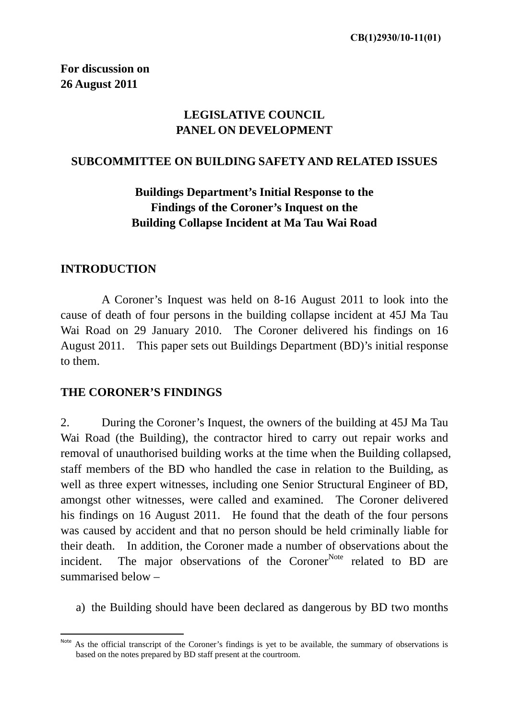# **LEGISLATIVE COUNCIL PANEL ON DEVELOPMENT**

#### **SUBCOMMITTEE ON BUILDING SAFETY AND RELATED ISSUES**

# **Buildings Department's Initial Response to the Findings of the Coroner's Inquest on the Building Collapse Incident at Ma Tau Wai Road**

#### **INTRODUCTION**

 A Coroner's Inquest was held on 8-16 August 2011 to look into the cause of death of four persons in the building collapse incident at 45J Ma Tau Wai Road on 29 January 2010. The Coroner delivered his findings on 16 August 2011. This paper sets out Buildings Department (BD)'s initial response to them.

#### **THE CORONER'S FINDINGS**

2. During the Coroner's Inquest, the owners of the building at 45J Ma Tau Wai Road (the Building), the contractor hired to carry out repair works and removal of unauthorised building works at the time when the Building collapsed, staff members of the BD who handled the case in relation to the Building, as well as three expert witnesses, including one Senior Structural Engineer of BD, amongst other witnesses, were called and examined. The Coroner delivered his findings on 16 August 2011. He found that the death of the four persons was caused by accident and that no person should be held criminally liable for their death. In addition, the Coroner made a number of observations about the incident. The major observations of the Coroner<sup>Note</sup> related to BD are summarised below –

a) the Building should have been declared as dangerous by BD two months

Note As the official transcript of the Coroner's findings is yet to be available, the summary of observations is based on the notes prepared by BD staff present at the courtroom.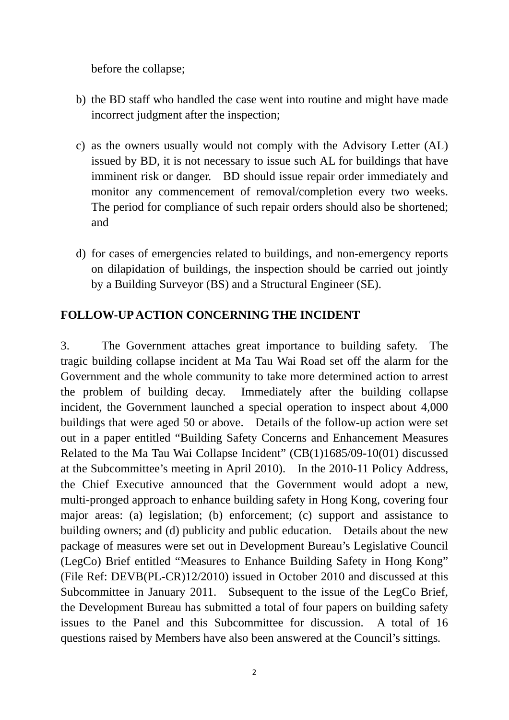before the collapse;

- b) the BD staff who handled the case went into routine and might have made incorrect judgment after the inspection;
- c) as the owners usually would not comply with the Advisory Letter (AL) issued by BD, it is not necessary to issue such AL for buildings that have imminent risk or danger. BD should issue repair order immediately and monitor any commencement of removal/completion every two weeks. The period for compliance of such repair orders should also be shortened; and
- d) for cases of emergencies related to buildings, and non-emergency reports on dilapidation of buildings, the inspection should be carried out jointly by a Building Surveyor (BS) and a Structural Engineer (SE).

## **FOLLOW-UP ACTION CONCERNING THE INCIDENT**

3. The Government attaches great importance to building safety. The tragic building collapse incident at Ma Tau Wai Road set off the alarm for the Government and the whole community to take more determined action to arrest the problem of building decay. Immediately after the building collapse incident, the Government launched a special operation to inspect about 4,000 buildings that were aged 50 or above. Details of the follow-up action were set out in a paper entitled "Building Safety Concerns and Enhancement Measures Related to the Ma Tau Wai Collapse Incident" (CB(1)1685/09-10(01) discussed at the Subcommittee's meeting in April 2010). In the 2010-11 Policy Address, the Chief Executive announced that the Government would adopt a new, multi-pronged approach to enhance building safety in Hong Kong, covering four major areas: (a) legislation; (b) enforcement; (c) support and assistance to building owners; and (d) publicity and public education. Details about the new package of measures were set out in Development Bureau's Legislative Council (LegCo) Brief entitled "Measures to Enhance Building Safety in Hong Kong" (File Ref: DEVB(PL-CR)12/2010) issued in October 2010 and discussed at this Subcommittee in January 2011. Subsequent to the issue of the LegCo Brief, the Development Bureau has submitted a total of four papers on building safety issues to the Panel and this Subcommittee for discussion. A total of 16 questions raised by Members have also been answered at the Council's sittings*.*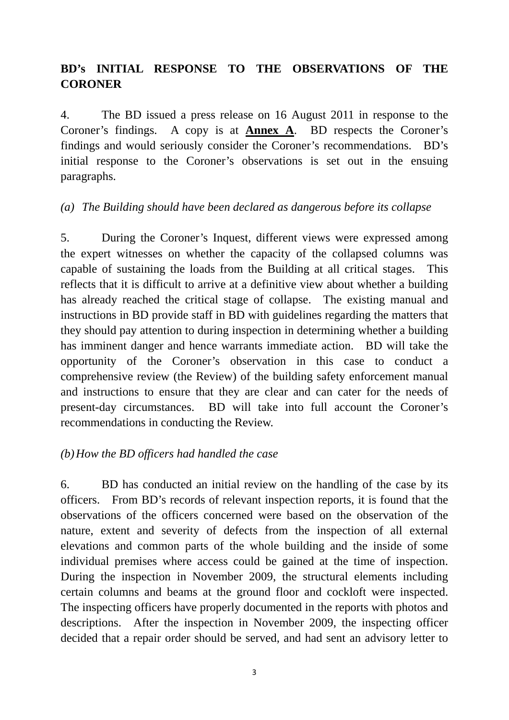# **BD's INITIAL RESPONSE TO THE OBSERVATIONS OF THE CORONER**

4. The BD issued a press release on 16 August 2011 in response to the Coroner's findings. A copy is at **Annex A**. BD respects the Coroner's findings and would seriously consider the Coroner's recommendations. BD's initial response to the Coroner's observations is set out in the ensuing paragraphs.

## *(a) The Building should have been declared as dangerous before its collapse*

5. During the Coroner's Inquest, different views were expressed among the expert witnesses on whether the capacity of the collapsed columns was capable of sustaining the loads from the Building at all critical stages. This reflects that it is difficult to arrive at a definitive view about whether a building has already reached the critical stage of collapse. The existing manual and instructions in BD provide staff in BD with guidelines regarding the matters that they should pay attention to during inspection in determining whether a building has imminent danger and hence warrants immediate action. BD will take the opportunity of the Coroner's observation in this case to conduct a comprehensive review (the Review) of the building safety enforcement manual and instructions to ensure that they are clear and can cater for the needs of present-day circumstances. BD will take into full account the Coroner's recommendations in conducting the Review.

## *(b)How the BD officers had handled the case*

6. BD has conducted an initial review on the handling of the case by its officers. From BD's records of relevant inspection reports, it is found that the observations of the officers concerned were based on the observation of the nature, extent and severity of defects from the inspection of all external elevations and common parts of the whole building and the inside of some individual premises where access could be gained at the time of inspection. During the inspection in November 2009, the structural elements including certain columns and beams at the ground floor and cockloft were inspected. The inspecting officers have properly documented in the reports with photos and descriptions. After the inspection in November 2009, the inspecting officer decided that a repair order should be served, and had sent an advisory letter to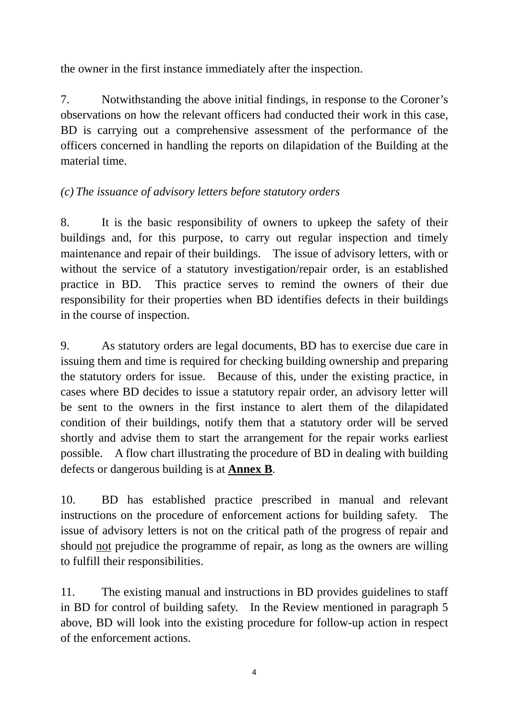the owner in the first instance immediately after the inspection.

7. Notwithstanding the above initial findings, in response to the Coroner's observations on how the relevant officers had conducted their work in this case, BD is carrying out a comprehensive assessment of the performance of the officers concerned in handling the reports on dilapidation of the Building at the material time.

# *(c) The issuance of advisory letters before statutory orders*

8. It is the basic responsibility of owners to upkeep the safety of their buildings and, for this purpose, to carry out regular inspection and timely maintenance and repair of their buildings. The issue of advisory letters, with or without the service of a statutory investigation/repair order, is an established practice in BD. This practice serves to remind the owners of their due responsibility for their properties when BD identifies defects in their buildings in the course of inspection.

9. As statutory orders are legal documents, BD has to exercise due care in issuing them and time is required for checking building ownership and preparing the statutory orders for issue. Because of this, under the existing practice, in cases where BD decides to issue a statutory repair order, an advisory letter will be sent to the owners in the first instance to alert them of the dilapidated condition of their buildings, notify them that a statutory order will be served shortly and advise them to start the arrangement for the repair works earliest possible. A flow chart illustrating the procedure of BD in dealing with building defects or dangerous building is at **Annex B**.

10. BD has established practice prescribed in manual and relevant instructions on the procedure of enforcement actions for building safety. The issue of advisory letters is not on the critical path of the progress of repair and should not prejudice the programme of repair, as long as the owners are willing to fulfill their responsibilities.

11. The existing manual and instructions in BD provides guidelines to staff in BD for control of building safety. In the Review mentioned in paragraph 5 above, BD will look into the existing procedure for follow-up action in respect of the enforcement actions.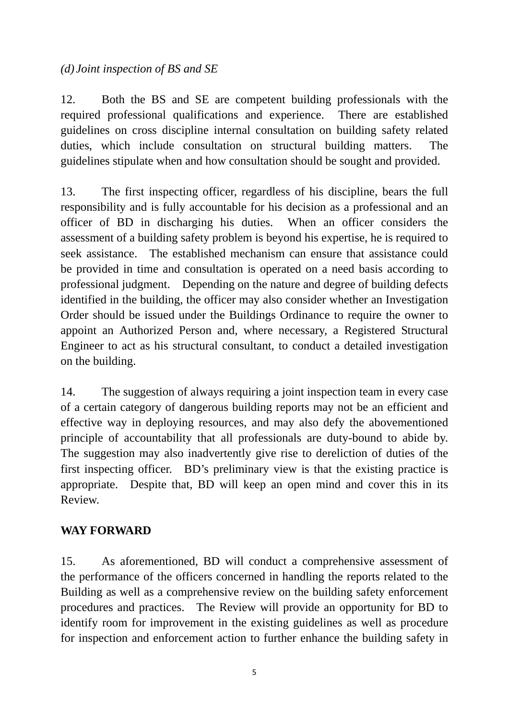## *(d) Joint inspection of BS and SE*

12. Both the BS and SE are competent building professionals with the required professional qualifications and experience. There are established guidelines on cross discipline internal consultation on building safety related duties, which include consultation on structural building matters. The guidelines stipulate when and how consultation should be sought and provided.

13. The first inspecting officer, regardless of his discipline, bears the full responsibility and is fully accountable for his decision as a professional and an officer of BD in discharging his duties. When an officer considers the assessment of a building safety problem is beyond his expertise, he is required to seek assistance. The established mechanism can ensure that assistance could be provided in time and consultation is operated on a need basis according to professional judgment. Depending on the nature and degree of building defects identified in the building, the officer may also consider whether an Investigation Order should be issued under the Buildings Ordinance to require the owner to appoint an Authorized Person and, where necessary, a Registered Structural Engineer to act as his structural consultant, to conduct a detailed investigation on the building.

14. The suggestion of always requiring a joint inspection team in every case of a certain category of dangerous building reports may not be an efficient and effective way in deploying resources, and may also defy the abovementioned principle of accountability that all professionals are duty-bound to abide by. The suggestion may also inadvertently give rise to dereliction of duties of the first inspecting officer. BD's preliminary view is that the existing practice is appropriate. Despite that, BD will keep an open mind and cover this in its Review.

## **WAY FORWARD**

15. As aforementioned, BD will conduct a comprehensive assessment of the performance of the officers concerned in handling the reports related to the Building as well as a comprehensive review on the building safety enforcement procedures and practices. The Review will provide an opportunity for BD to identify room for improvement in the existing guidelines as well as procedure for inspection and enforcement action to further enhance the building safety in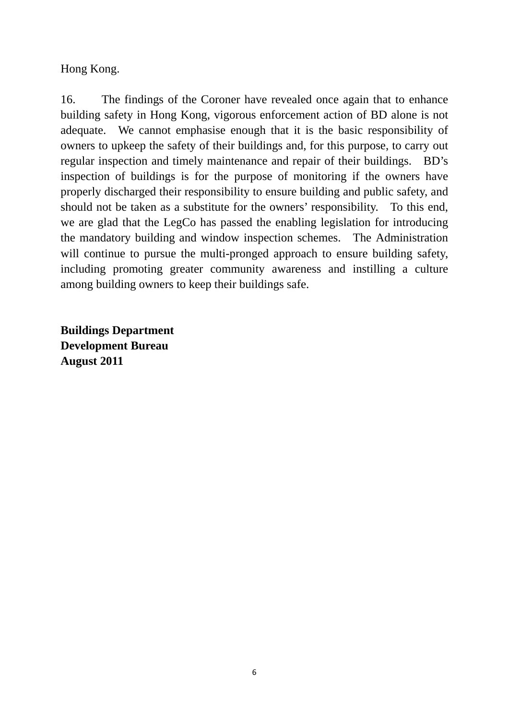Hong Kong.

16. The findings of the Coroner have revealed once again that to enhance building safety in Hong Kong, vigorous enforcement action of BD alone is not adequate. We cannot emphasise enough that it is the basic responsibility of owners to upkeep the safety of their buildings and, for this purpose, to carry out regular inspection and timely maintenance and repair of their buildings. BD's inspection of buildings is for the purpose of monitoring if the owners have properly discharged their responsibility to ensure building and public safety, and should not be taken as a substitute for the owners' responsibility. To this end, we are glad that the LegCo has passed the enabling legislation for introducing the mandatory building and window inspection schemes. The Administration will continue to pursue the multi-pronged approach to ensure building safety, including promoting greater community awareness and instilling a culture among building owners to keep their buildings safe.

**Buildings Department Development Bureau August 2011**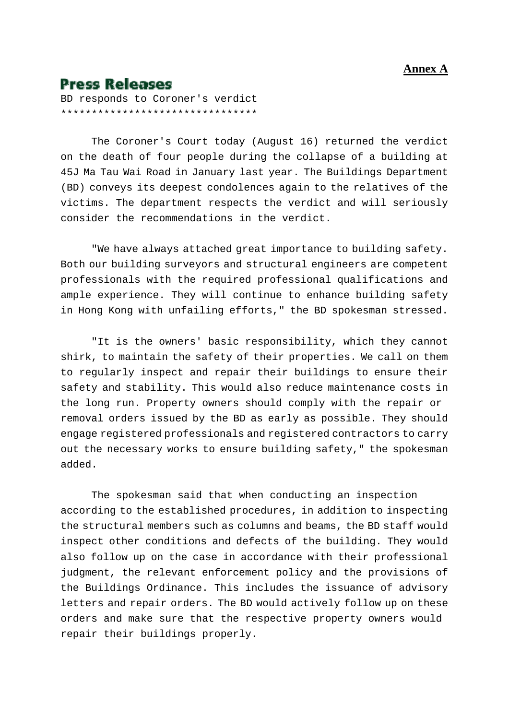#### **Annex A**

# **Press Releases**

BD responds to Coroner's verdict \*\*\*\*\*\*\*\*\*\*\*\*\*\*\*\*\*\*\*\*\*\*\*\*\*\*\*\*\*\*\*\*

 The Coroner's Court today (August 16) returned the verdict on the death of four people during the collapse of a building at 45J Ma Tau Wai Road in January last year. The Buildings Department (BD) conveys its deepest condolences again to the relatives of the victims. The department respects the verdict and will seriously consider the recommendations in the verdict.

 "We have always attached great importance to building safety. Both our building surveyors and structural engineers are competent professionals with the required professional qualifications and ample experience. They will continue to enhance building safety in Hong Kong with unfailing efforts," the BD spokesman stressed.

 "It is the owners' basic responsibility, which they cannot shirk, to maintain the safety of their properties. We call on them to regularly inspect and repair their buildings to ensure their safety and stability. This would also reduce maintenance costs in the long run. Property owners should comply with the repair or removal orders issued by the BD as early as possible. They should engage registered professionals and registered contractors to carry out the necessary works to ensure building safety," the spokesman added.

 The spokesman said that when conducting an inspection according to the established procedures, in addition to inspecting the structural members such as columns and beams, the BD staff would inspect other conditions and defects of the building. They would also follow up on the case in accordance with their professional judgment, the relevant enforcement policy and the provisions of the Buildings Ordinance. This includes the issuance of advisory letters and repair orders. The BD would actively follow up on these orders and make sure that the respective property owners would repair their buildings properly.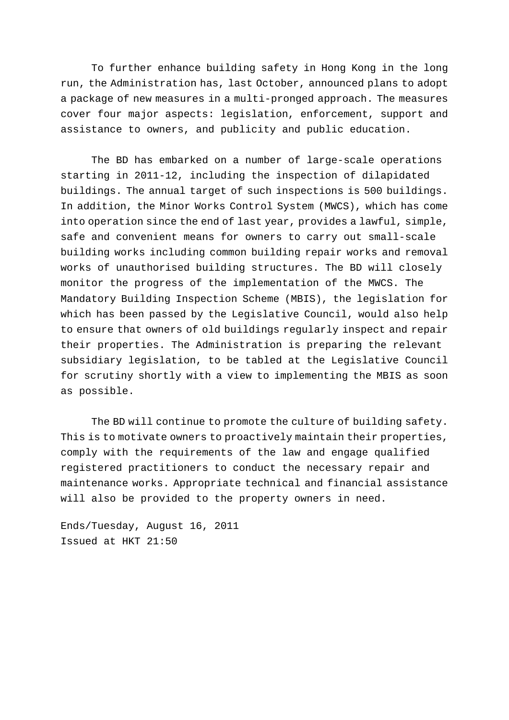To further enhance building safety in Hong Kong in the long run, the Administration has, last October, announced plans to adopt a package of new measures in a multi-pronged approach. The measures cover four major aspects: legislation, enforcement, support and assistance to owners, and publicity and public education.

 The BD has embarked on a number of large-scale operations starting in 2011-12, including the inspection of dilapidated buildings. The annual target of such inspections is 500 buildings. In addition, the Minor Works Control System (MWCS), which has come into operation since the end of last year, provides a lawful, simple, safe and convenient means for owners to carry out small-scale building works including common building repair works and removal works of unauthorised building structures. The BD will closely monitor the progress of the implementation of the MWCS. The Mandatory Building Inspection Scheme (MBIS), the legislation for which has been passed by the Legislative Council, would also help to ensure that owners of old buildings regularly inspect and repair their properties. The Administration is preparing the relevant subsidiary legislation, to be tabled at the Legislative Council for scrutiny shortly with a view to implementing the MBIS as soon as possible.

 The BD will continue to promote the culture of building safety. This is to motivate owners to proactively maintain their properties, comply with the requirements of the law and engage qualified registered practitioners to conduct the necessary repair and maintenance works. Appropriate technical and financial assistance will also be provided to the property owners in need.

Ends/Tuesday, August 16, 2011 Issued at HKT 21:50